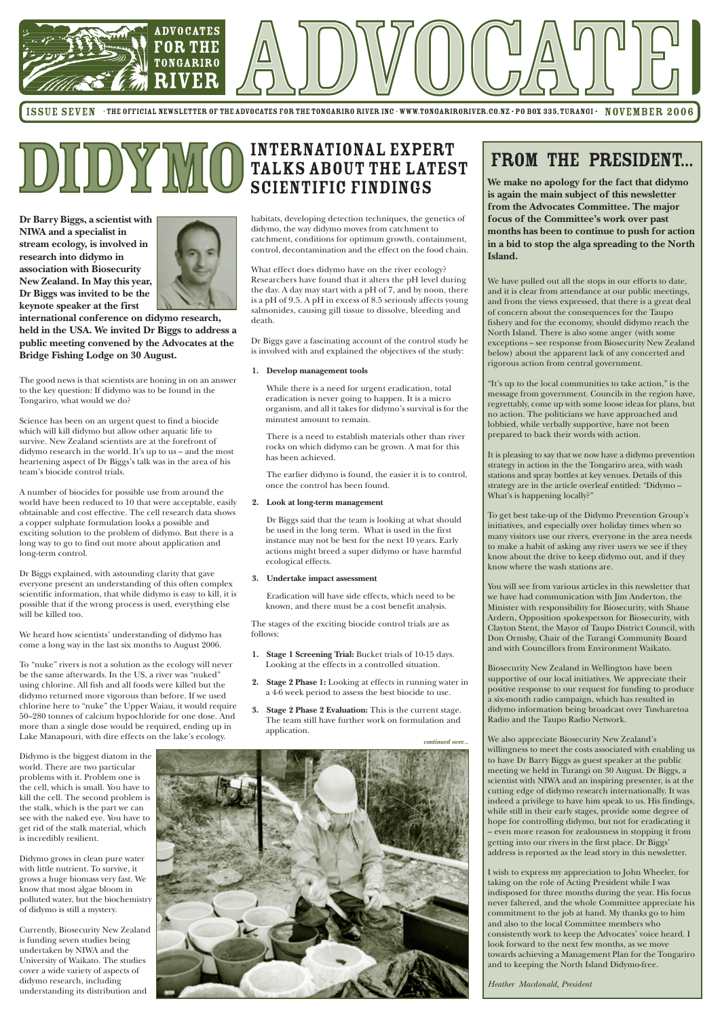

ISSUE SEVEN · THE OFFICIAL NEWSLETTER OF THE ADVOCATES FOR THE TONGARIRO RIVER INC · WWW.TONGARIRORIVER.CO.NZ · PO BOX 335, TURANGI · NOVEMBER 2006

**Dr Barry Biggs, a scientist with NIWA and a specialist in stream ecology, is involved in research into didymo in association with Biosecurity New Zealand. In May this year, Dr Biggs was invited to be the keynote speaker at the first**



**international conference on didymo research, held in the USA. We invited Dr Biggs to address a public meeting convened by the Advocates at the Bridge Fishing Lodge on 30 August.**

The good news is that scientists are honing in on an answer to the key question: If didymo was to be found in the Tongariro, what would we do?

Science has been on an urgent quest to find a biocide which will kill didymo but allow other aquatic life to survive. New Zealand scientists are at the forefront of didymo research in the world. It's up to us – and the most heartening aspect of Dr Biggs's talk was in the area of his team's biocide control trials.

A number of biocides for possible use from around the world have been reduced to 10 that were acceptable, easily obtainable and cost effective. The cell research data shows a copper sulphate formulation looks a possible and exciting solution to the problem of didymo. But there is a long way to go to find out more about application and long-term control.

Dr Biggs explained, with astounding clarity that gave everyone present an understanding of this often complex scientific information, that while didymo is easy to kill, it is possible that if the wrong process is used, everything else will be killed too.

We heard how scientists' understanding of didymo has come a long way in the last six months to August 2006.

To "nuke" rivers is not a solution as the ecology will never be the same afterwards. In the US, a river was "nuked" using chlorine. All fish and all foods were killed but the didymo returned more vigorous than before. If we used chlorine here to "nuke" the Upper Waiau, it would require 50–280 tonnes of calcium hypochloride for one dose. And more than a single dose would be required, ending up in Lake Manapouri, with dire effects on the lake's ecology.

Didymo is the biggest diatom in the world. There are two particular problems with it. Problem one is the cell, which is small. You have to kill the cell. The second problem is the stalk, which is the part we can see with the naked eye. You have to get rid of the stalk material, which is incredibly resilient.

Didymo grows in clean pure water with little nutrient. To survive, it grows a huge biomass very fast. We know that most algae bloom in polluted water, but the biochemistry of didymo is still a mystery.

Currently, Biosecurity New Zealand is funding seven studies being undertaken by NIWA and the University of Waikato. The studies cover a wide variety of aspects of didymo research, including understanding its distribution and



## FROM THE PRESIDENT...

**We make no apology for the fact that didymo is again the main subject of this newsletter from the Advocates Committee. The major focus of the Committee's work over past months has been to continue to push for action in a bid to stop the alga spreading to the North Island.**

We have pulled out all the stops in our efforts to date, and it is clear from attendance at our public meetings, and from the views expressed, that there is a great deal of concern about the consequences for the Taupo fishery and for the economy, should didymo reach the North Island. There is also some anger (with some exceptions – see response from Biosecurity New Zealand below) about the apparent lack of any concerted and rigorous action from central government.

"It's up to the local communities to take action," is the message from government. Councils in the region have, regrettably, come up with some loose ideas for plans, but no action. The politicians we have approached and lobbied, while verbally supportive, have not been prepared to back their words with action.

It is pleasing to say that we now have a didymo prevention strategy in action in the the Tongariro area, with wash stations and spray bottles at key venues. Details of this strategy are in the article overleaf entitled: "Didymo – What's is happening locally?"

## **DIDYMO** INTERNATIONAL EXPERT<br>SCIENTIFIC FINDINGS talks about the latest scientific findings

To get best take-up of the Didymo Prevention Group's initiatives, and especially over holiday times when so many visitors use our rivers, everyone in the area needs to make a habit of asking any river users we see if they know about the drive to keep didymo out, and if they know where the wash stations are.

You will see from various articles in this newsletter that we have had communication with Jim Anderton, the Minister with responsibility for Biosecurity, with Shane Ardern, Opposition spokesperson for Biosecurity, with Clayton Stent, the Mayor of Taupo District Council, with Don Ormsby, Chair of the Turangi Community Board and with Councillors from Environment Waikato.

Biosecurity New Zealand in Wellington have been supportive of our local initiatives. We appreciate their positive response to our request for funding to produce a six-month radio campaign, which has resulted in didymo information being broadcast over Tuwharetoa Radio and the Taupo Radio Network.

We also appreciate Biosecurity New Zealand's willingness to meet the costs associated with enabling us to have Dr Barry Biggs as guest speaker at the public meeting we held in Turangi on 30 August. Dr Biggs, a scientist with NIWA and an inspiring presenter, is at the cutting edge of didymo research internationally. It was indeed a privilege to have him speak to us. His findings, while still in their early stages, provide some degree of hope for controlling didymo, but not for eradicating it – even more reason for zealousness in stopping it from getting into our rivers in the first place. Dr Biggs' address is reported as the lead story in this newsletter.

I wish to express my appreciation to John Wheeler, for taking on the role of Acting President while I was indisposed for three months during the year. His focus never faltered, and the whole Committee appreciate his commitment to the job at hand. My thanks go to him and also to the local Committee members who consistently work to keep the Advocates' voice heard. I look forward to the next few months, as we move towards achieving a Management Plan for the Tongariro and to keeping the North Island Didymo-free.

*Heather Macdonald, President*

habitats, developing detection techniques, the genetics of didymo, the way didymo moves from catchment to catchment, conditions for optimum growth, containment, control, decontamination and the effect on the food chain.

What effect does didymo have on the river ecology? Researchers have found that it alters the pH level during the day. A day may start with a pH of 7, and by noon, there is a pH of 9.5. A pH in excess of 8.5 seriously affects young salmonides, causing gill tissue to dissolve, bleeding and death.

Dr Biggs gave a fascinating account of the control study he is involved with and explained the objectives of the study:

### **1. Develop management tools**

While there is a need for urgent eradication, total eradication is never going to happen. It is a micro organism, and all it takes for didymo's survival is for the minutest amount to remain.

There is a need to establish materials other than river rocks on which didymo can be grown. A mat for this has been achieved.

The earlier didymo is found, the easier it is to control, once the control has been found.

#### **2. Look at long-term management**

Dr Biggs said that the team is looking at what should be used in the long term. What is used in the first instance may not be best for the next 10 years. Early actions might breed a super didymo or have harmful ecological effects.

#### **3. Undertake impact assessment**

Eradication will have side effects, which need to be known, and there must be a cost benefit analysis.

The stages of the exciting biocide control trials are as follows:

- **1. Stage 1 Screening Trial:** Bucket trials of 10-15 days. Looking at the effects in a controlled situation.
- **2. Stage 2 Phase 1:** Looking at effects in running water in a 4-6 week period to assess the best biocide to use.
- **3. Stage 2 Phase 2 Evaluation:** This is the current stage. The team still have further work on formulation and application.

*continued over...*